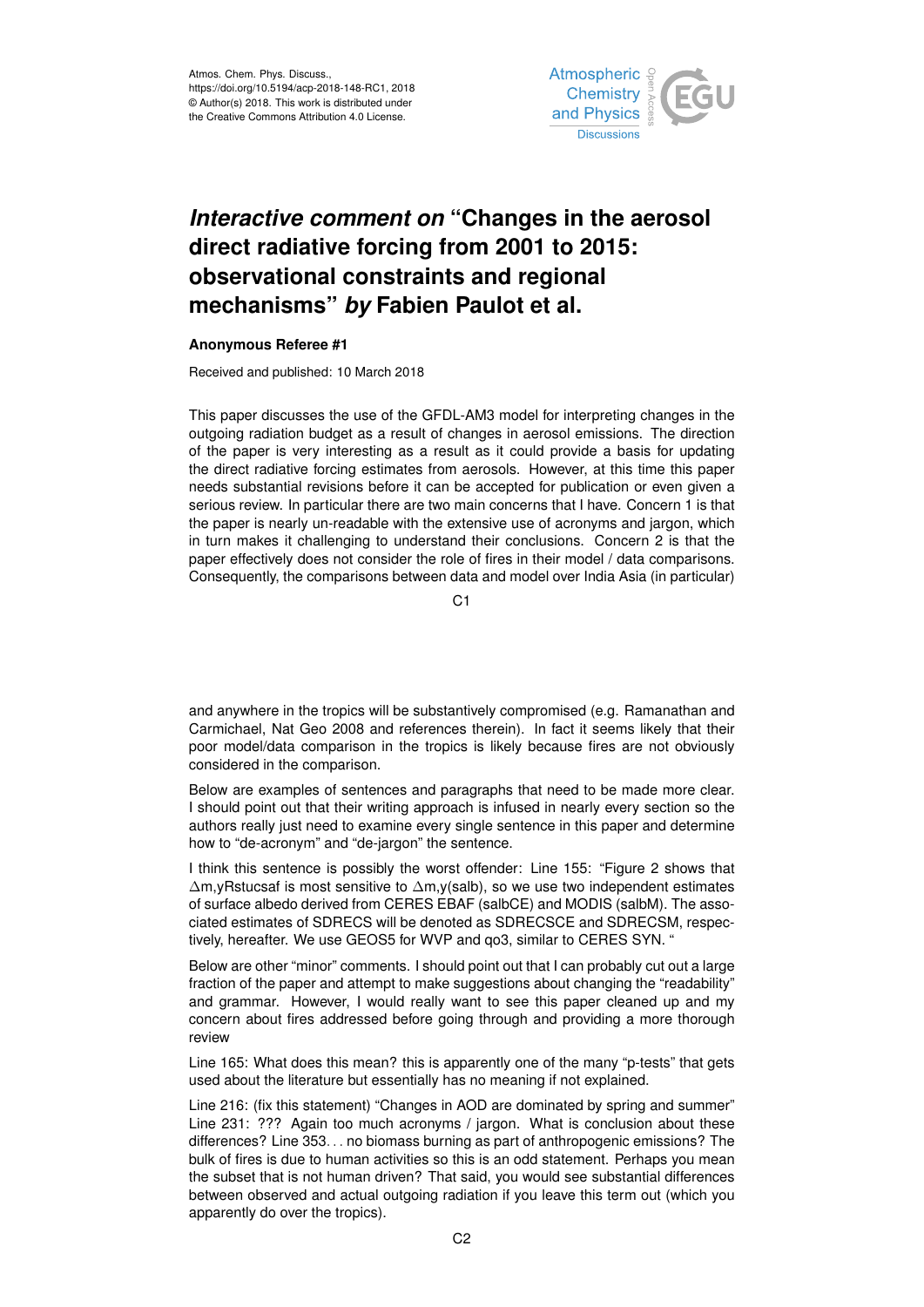

## *Interactive comment on* **"Changes in the aerosol direct radiative forcing from 2001 to 2015: observational constraints and regional mechanisms"** *by* **Fabien Paulot et al.**

## **Anonymous Referee #1**

Received and published: 10 March 2018

This paper discusses the use of the GFDL-AM3 model for interpreting changes in the outgoing radiation budget as a result of changes in aerosol emissions. The direction of the paper is very interesting as a result as it could provide a basis for updating the direct radiative forcing estimates from aerosols. However, at this time this paper needs substantial revisions before it can be accepted for publication or even given a serious review. In particular there are two main concerns that I have. Concern 1 is that the paper is nearly un-readable with the extensive use of acronyms and jargon, which in turn makes it challenging to understand their conclusions. Concern 2 is that the paper effectively does not consider the role of fires in their model / data comparisons. Consequently, the comparisons between data and model over India Asia (in particular)

C1

and anywhere in the tropics will be substantively compromised (e.g. Ramanathan and Carmichael, Nat Geo 2008 and references therein). In fact it seems likely that their poor model/data comparison in the tropics is likely because fires are not obviously considered in the comparison.

Below are examples of sentences and paragraphs that need to be made more clear. I should point out that their writing approach is infused in nearly every section so the authors really just need to examine every single sentence in this paper and determine how to "de-acronym" and "de-jargon" the sentence.

I think this sentence is possibly the worst offender: Line 155: "Figure 2 shows that ∆m,yRstucsaf is most sensitive to ∆m,y(salb), so we use two independent estimates of surface albedo derived from CERES EBAF (salbCE) and MODIS (salbM). The associated estimates of SDRECS will be denoted as SDRECSCE and SDRECSM, respectively, hereafter. We use GEOS5 for WVP and qo3, similar to CERES SYN. "

Below are other "minor" comments. I should point out that I can probably cut out a large fraction of the paper and attempt to make suggestions about changing the "readability" and grammar. However, I would really want to see this paper cleaned up and my concern about fires addressed before going through and providing a more thorough review

Line 165: What does this mean? this is apparently one of the many "p-tests" that gets used about the literature but essentially has no meaning if not explained.

Line 216: (fix this statement) "Changes in AOD are dominated by spring and summer" Line 231: ??? Again too much acronyms / jargon. What is conclusion about these differences? Line 353. . . no biomass burning as part of anthropogenic emissions? The bulk of fires is due to human activities so this is an odd statement. Perhaps you mean the subset that is not human driven? That said, you would see substantial differences between observed and actual outgoing radiation if you leave this term out (which you apparently do over the tropics).